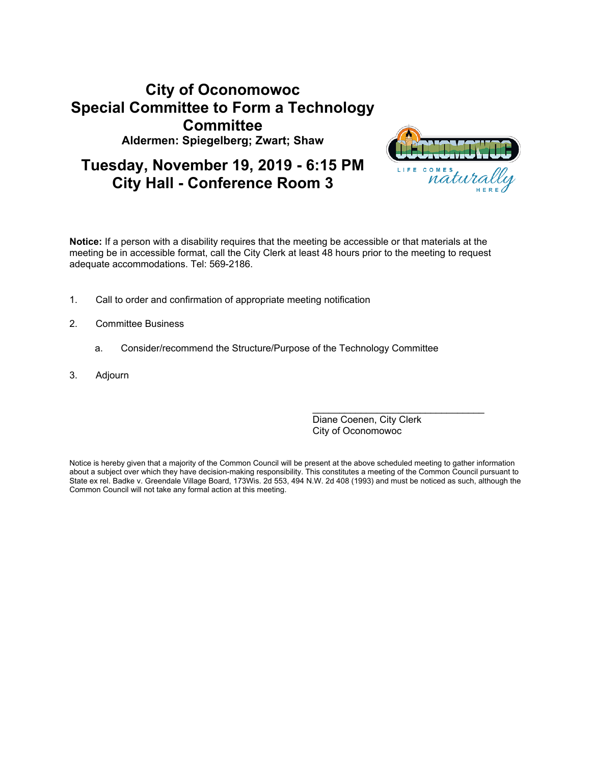# **City of Oconomowoc Special Committee to Form a Technology Committee Aldermen: Spiegelberg; Zwart; Shaw**





**Notice:** If a person with a disability requires that the meeting be accessible or that materials at the meeting be in accessible format, call the City Clerk at least 48 hours prior to the meeting to request adequate accommodations. Tel: 569-2186.

- 1. Call to order and confirmation of appropriate meeting notification
- 2. Committee Business
	- a. Consider/recommend the Structure/Purpose of the Technology Committee
- 3. Adjourn

Diane Coenen, City Clerk City of Oconomowoc

\_\_\_\_\_\_\_\_\_\_\_\_\_\_\_\_\_\_\_\_\_\_\_\_\_\_\_\_\_\_\_\_

Notice is hereby given that a majority of the Common Council will be present at the above scheduled meeting to gather information about a subject over which they have decision-making responsibility. This constitutes a meeting of the Common Council pursuant to State ex rel. Badke v. Greendale Village Board, 173Wis. 2d 553, 494 N.W. 2d 408 (1993) and must be noticed as such, although the Common Council will not take any formal action at this meeting.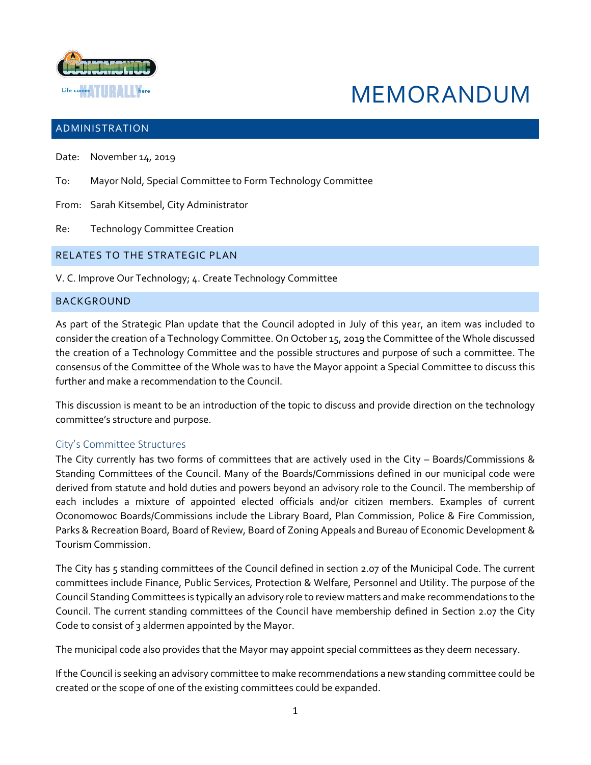

# MEMORANDUM

## ADMINISTRATION

- Date: November 14, 2019
- To: Mayor Nold, Special Committee to Form Technology Committee
- From: Sarah Kitsembel, City Administrator
- Re: Technology Committee Creation

#### RELATES TO THE STRATEGIC PLAN

V. C. Improve Our Technology; 4. Create Technology Committee

#### BACKGROUND

As part of the Strategic Plan update that the Council adopted in July of this year, an item was included to consider the creation of a Technology Committee. On October 15, 2019 the Committee of the Whole discussed the creation of a Technology Committee and the possible structures and purpose of such a committee. The consensus of the Committee of the Whole was to have the Mayor appoint a Special Committee to discuss this further and make a recommendation to the Council.

This discussion is meant to be an introduction of the topic to discuss and provide direction on the technology committee's structure and purpose.

#### City's Committee Structures

The City currently has two forms of committees that are actively used in the City – Boards/Commissions & Standing Committees of the Council. Many of the Boards/Commissions defined in our municipal code were derived from statute and hold duties and powers beyond an advisory role to the Council. The membership of each includes a mixture of appointed elected officials and/or citizen members. Examples of current Oconomowoc Boards/Commissions include the Library Board, Plan Commission, Police & Fire Commission, Parks & Recreation Board, Board of Review, Board of Zoning Appeals and Bureau of Economic Development & Tourism Commission.

The City has 5 standing committees of the Council defined in section 2.07 of the Municipal Code. The current committees include Finance, Public Services, Protection & Welfare, Personnel and Utility. The purpose of the Council Standing Committees is typically an advisory role to review matters and make recommendations to the Council. The current standing committees of the Council have membership defined in Section 2.07 the City Code to consist of 3 aldermen appointed by the Mayor.

The municipal code also provides that the Mayor may appoint special committees as they deem necessary.

If the Council is seeking an advisory committee to make recommendations a new standing committee could be created or the scope of one of the existing committees could be expanded.